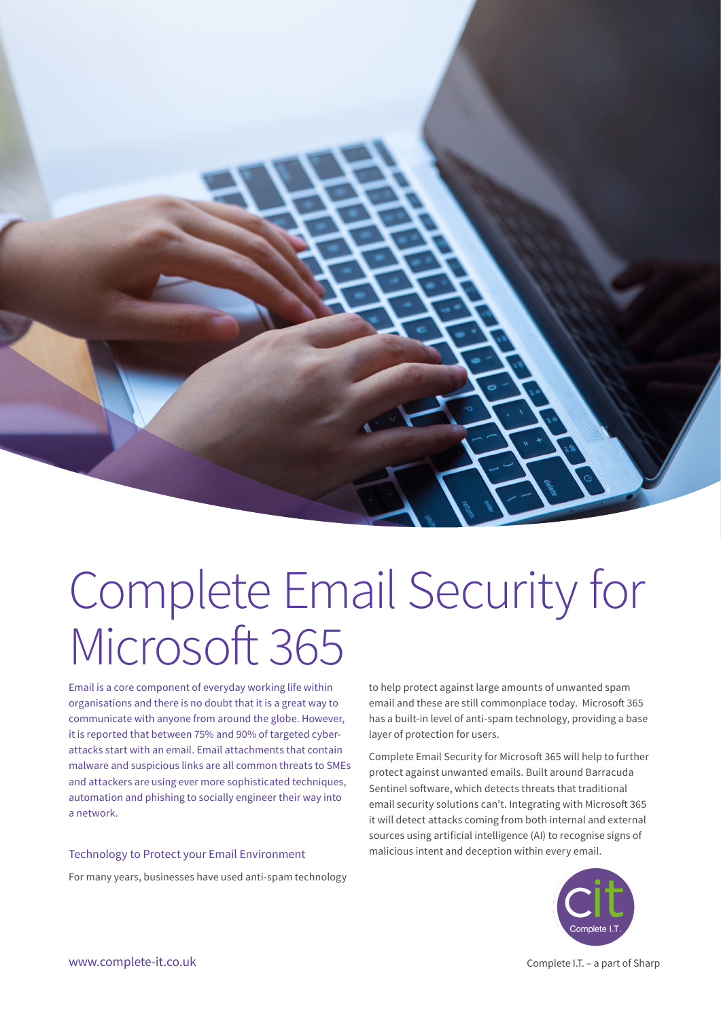

# Complete Email Security for Microsoft 365

Email is a core component of everyday working life within organisations and there is no doubt that it is a great way to communicate with anyone from around the globe. However, it is reported that between 75% and 90% of targeted cyberattacks start with an email. Email attachments that contain malware and suspicious links are all common threats to SMEs and attackers are using ever more sophisticated techniques, automation and phishing to socially engineer their way into a network.

#### Technology to Protect your Email Environment

For many years, businesses have used anti-spam technology

to help protect against large amounts of unwanted spam email and these are still commonplace today. Microsoft 365 has a built-in level of anti-spam technology, providing a base layer of protection for users.

Complete Email Security for Microsoft 365 will help to further protect against unwanted emails. Built around Barracuda Sentinel software, which detects threats that traditional email security solutions can't. Integrating with Microsoft 365 it will detect attacks coming from both internal and external sources using artificial intelligence (AI) to recognise signs of malicious intent and deception within every email.